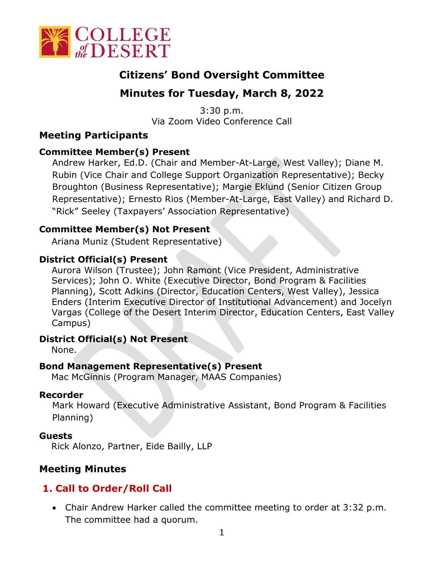

# **Citizens' Bond Oversight Committee**

# **Minutes for Tuesday, March 8, 2022**

3:30 p.m. Via Zoom Video Conference Call

# **Meeting Participants**

#### **Committee Member(s) Present**

Andrew Harker, Ed.D. (Chair and Member-At-Large, West Valley); Diane M. Rubin (Vice Chair and College Support Organization Representative); Becky Broughton (Business Representative); Margie Eklund (Senior Citizen Group Representative); Ernesto Rios (Member-At-Large, East Valley) and Richard D. "Rick" Seeley (Taxpayers' Association Representative)

#### **Committee Member(s) Not Present**

Ariana Muniz (Student Representative)

#### **District Official(s) Present**

Aurora Wilson (Trustee); John Ramont (Vice President, Administrative Services); John O. White (Executive Director, Bond Program & Facilities Planning), Scott Adkins (Director, Education Centers, West Valley), Jessica Enders (Interim Executive Director of Institutional Advancement) and Jocelyn Vargas (College of the Desert Interim Director, Education Centers, East Valley Campus)

#### **District Official(s) Not Present**

None.

# **Bond Management Representative(s) Present**

Mac McGinnis (Program Manager, MAAS Companies)

#### **Recorder**

Mark Howard (Executive Administrative Assistant, Bond Program & Facilities Planning)

#### **Guests**

Rick Alonzo, Partner, Eide Bailly, LLP

# **Meeting Minutes**

# **1. Call to Order/Roll Call**

• Chair Andrew Harker called the committee meeting to order at 3:32 p.m. The committee had a quorum.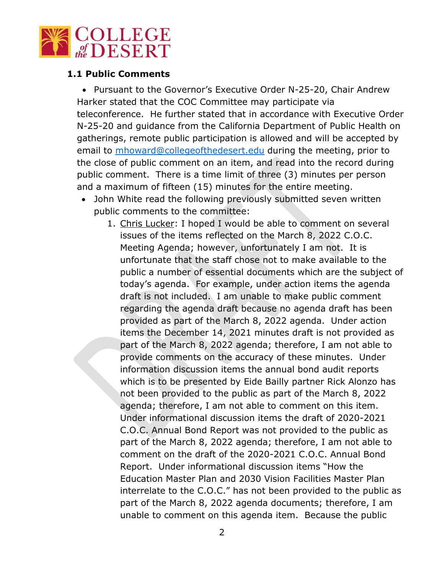

#### **1.1 Public Comments**

• Pursuant to the Governor's Executive Order N-25-20, Chair Andrew Harker stated that the COC Committee may participate via teleconference. He further stated that in accordance with Executive Order N-25-20 and guidance from the California Department of Public Health on gatherings, remote public participation is allowed and will be accepted by email to [mhoward@collegeofthedesert.edu](mailto:mhoward@collegeofthedesert.edu) during the meeting, prior to the close of public comment on an item, and read into the record during public comment. There is a time limit of three (3) minutes per person and a maximum of fifteen (15) minutes for the entire meeting.

- John White read the following previously submitted seven written public comments to the committee:
	- 1. Chris Lucker: I hoped I would be able to comment on several issues of the items reflected on the March 8, 2022 C.O.C. Meeting Agenda; however, unfortunately I am not. It is unfortunate that the staff chose not to make available to the public a number of essential documents which are the subject of today's agenda. For example, under action items the agenda draft is not included. I am unable to make public comment regarding the agenda draft because no agenda draft has been provided as part of the March 8, 2022 agenda. Under action items the December 14, 2021 minutes draft is not provided as part of the March 8, 2022 agenda; therefore, I am not able to provide comments on the accuracy of these minutes. Under information discussion items the annual bond audit reports which is to be presented by Eide Bailly partner Rick Alonzo has not been provided to the public as part of the March 8, 2022 agenda; therefore, I am not able to comment on this item. Under informational discussion items the draft of 2020-2021 C.O.C. Annual Bond Report was not provided to the public as part of the March 8, 2022 agenda; therefore, I am not able to comment on the draft of the 2020-2021 C.O.C. Annual Bond Report. Under informational discussion items "How the Education Master Plan and 2030 Vision Facilities Master Plan interrelate to the C.O.C." has not been provided to the public as part of the March 8, 2022 agenda documents; therefore, I am unable to comment on this agenda item. Because the public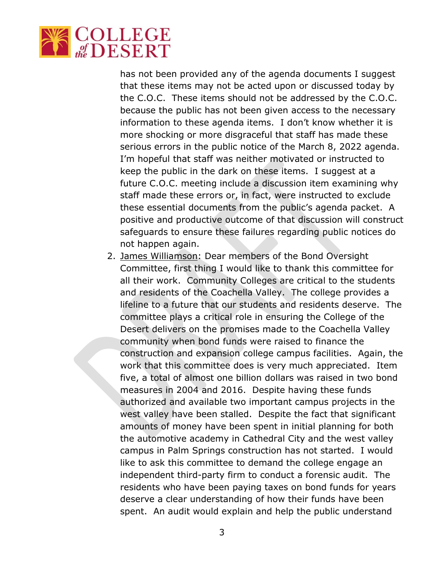

has not been provided any of the agenda documents I suggest that these items may not be acted upon or discussed today by the C.O.C. These items should not be addressed by the C.O.C. because the public has not been given access to the necessary information to these agenda items. I don't know whether it is more shocking or more disgraceful that staff has made these serious errors in the public notice of the March 8, 2022 agenda. I'm hopeful that staff was neither motivated or instructed to keep the public in the dark on these items. I suggest at a future C.O.C. meeting include a discussion item examining why staff made these errors or, in fact, were instructed to exclude these essential documents from the public's agenda packet. A positive and productive outcome of that discussion will construct safeguards to ensure these failures regarding public notices do not happen again.

2. James Williamson: Dear members of the Bond Oversight Committee, first thing I would like to thank this committee for all their work. Community Colleges are critical to the students and residents of the Coachella Valley. The college provides a lifeline to a future that our students and residents deserve. The committee plays a critical role in ensuring the College of the Desert delivers on the promises made to the Coachella Valley community when bond funds were raised to finance the construction and expansion college campus facilities. Again, the work that this committee does is very much appreciated. Item five, a total of almost one billion dollars was raised in two bond measures in 2004 and 2016. Despite having these funds authorized and available two important campus projects in the west valley have been stalled. Despite the fact that significant amounts of money have been spent in initial planning for both the automotive academy in Cathedral City and the west valley campus in Palm Springs construction has not started. I would like to ask this committee to demand the college engage an independent third-party firm to conduct a forensic audit. The residents who have been paying taxes on bond funds for years deserve a clear understanding of how their funds have been spent. An audit would explain and help the public understand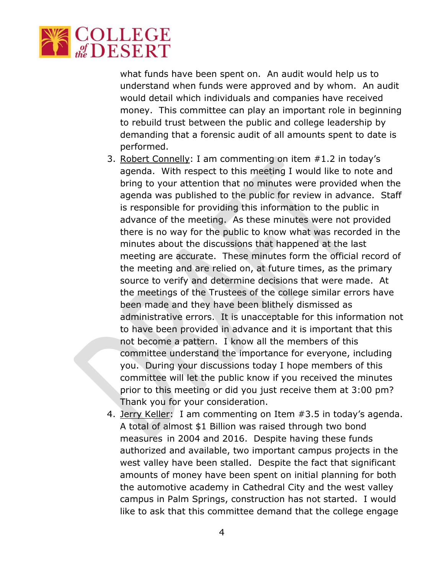

what funds have been spent on. An audit would help us to understand when funds were approved and by whom. An audit would detail which individuals and companies have received money. This committee can play an important role in beginning to rebuild trust between the public and college leadership by demanding that a forensic audit of all amounts spent to date is performed.

- 3. Robert Connelly: I am commenting on item #1.2 in today's agenda. With respect to this meeting I would like to note and bring to your attention that no minutes were provided when the agenda was published to the public for review in advance. Staff is responsible for providing this information to the public in advance of the meeting. As these minutes were not provided there is no way for the public to know what was recorded in the minutes about the discussions that happened at the last meeting are accurate. These minutes form the official record of the meeting and are relied on, at future times, as the primary source to verify and determine decisions that were made. At the meetings of the Trustees of the college similar errors have been made and they have been blithely dismissed as administrative errors. It is unacceptable for this information not to have been provided in advance and it is important that this not become a pattern. I know all the members of this committee understand the importance for everyone, including you. During your discussions today I hope members of this committee will let the public know if you received the minutes prior to this meeting or did you just receive them at 3:00 pm? Thank you for your consideration.
- 4. Jerry Keller: I am commenting on Item #3.5 in today's agenda. A total of almost \$1 Billion was raised through two bond measures in 2004 and 2016. Despite having these funds authorized and available, two important campus projects in the west valley have been stalled. Despite the fact that significant amounts of money have been spent on initial planning for both the automotive academy in Cathedral City and the west valley campus in Palm Springs, construction has not started. I would like to ask that this committee demand that the college engage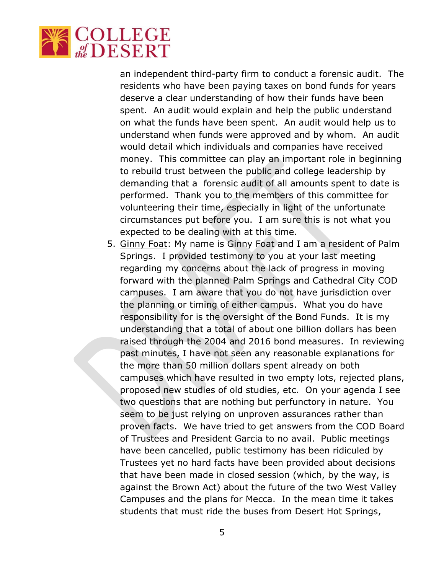

an independent third-party firm to conduct a forensic audit. The residents who have been paying taxes on bond funds for years deserve a clear understanding of how their funds have been spent. An audit would explain and help the public understand on what the funds have been spent. An audit would help us to understand when funds were approved and by whom. An audit would detail which individuals and companies have received money. This committee can play an important role in beginning to rebuild trust between the public and college leadership by demanding that a forensic audit of all amounts spent to date is performed. Thank you to the members of this committee for volunteering their time, especially in light of the unfortunate circumstances put before you. I am sure this is not what you expected to be dealing with at this time.

5. Ginny Foat: My name is Ginny Foat and I am a resident of Palm Springs. I provided testimony to you at your last meeting regarding my concerns about the lack of progress in moving forward with the planned Palm Springs and Cathedral City COD campuses. I am aware that you do not have jurisdiction over the planning or timing of either campus. What you do have responsibility for is the oversight of the Bond Funds. It is my understanding that a total of about one billion dollars has been raised through the 2004 and 2016 bond measures. In reviewing past minutes, I have not seen any reasonable explanations for the more than 50 million dollars spent already on both campuses which have resulted in two empty lots, rejected plans, proposed new studies of old studies, etc. On your agenda I see two questions that are nothing but perfunctory in nature. You seem to be just relying on unproven assurances rather than proven facts. We have tried to get answers from the COD Board of Trustees and President Garcia to no avail. Public meetings have been cancelled, public testimony has been ridiculed by Trustees yet no hard facts have been provided about decisions that have been made in closed session (which, by the way, is against the Brown Act) about the future of the two West Valley Campuses and the plans for Mecca. In the mean time it takes students that must ride the buses from Desert Hot Springs,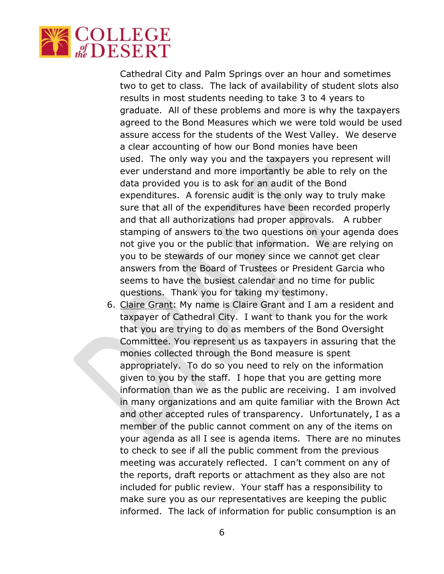

Cathedral City and Palm Springs over an hour and sometimes two to get to class. The lack of availability of student slots also results in most students needing to take 3 to 4 years to graduate. All of these problems and more is why the taxpayers agreed to the Bond Measures which we were told would be used assure access for the students of the West Valley. We deserve a clear accounting of how our Bond monies have been used. The only way you and the taxpayers you represent will ever understand and more importantly be able to rely on the data provided you is to ask for an audit of the Bond expenditures. A forensic audit is the only way to truly make sure that all of the expenditures have been recorded properly and that all authorizations had proper approvals. A rubber stamping of answers to the two questions on your agenda does not give you or the public that information. We are relying on you to be stewards of our money since we cannot get clear answers from the Board of Trustees or President Garcia who seems to have the busiest calendar and no time for public questions. Thank you for taking my testimony.

6. Claire Grant: My name is Claire Grant and I am a resident and taxpayer of Cathedral City. I want to thank you for the work that you are trying to do as members of the Bond Oversight Committee. You represent us as taxpayers in assuring that the monies collected through the Bond measure is spent appropriately. To do so you need to rely on the information given to you by the staff. I hope that you are getting more information than we as the public are receiving. I am involved in many organizations and am quite familiar with the Brown Act and other accepted rules of transparency. Unfortunately, I as a member of the public cannot comment on any of the items on your agenda as all I see is agenda items. There are no minutes to check to see if all the public comment from the previous meeting was accurately reflected. I can't comment on any of the reports, draft reports or attachment as they also are not included for public review. Your staff has a responsibility to make sure you as our representatives are keeping the public informed. The lack of information for public consumption is an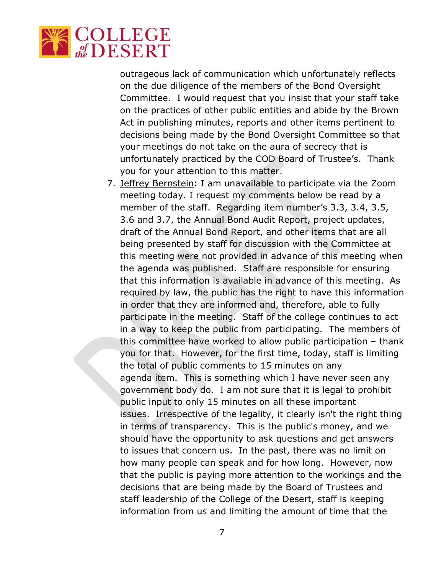

outrageous lack of communication which unfortunately reflects on the due diligence of the members of the Bond Oversight Committee. I would request that you insist that your staff take on the practices of other public entities and abide by the Brown Act in publishing minutes, reports and other items pertinent to decisions being made by the Bond Oversight Committee so that your meetings do not take on the aura of secrecy that is unfortunately practiced by the COD Board of Trustee's. Thank you for your attention to this matter.

7. Jeffrey Bernstein: I am unavailable to participate via the Zoom meeting today. I request my comments below be read by a member of the staff. Regarding item number's 3.3, 3.4, 3.5, 3.6 and 3.7, the Annual Bond Audit Report, project updates, draft of the Annual Bond Report, and other items that are all being presented by staff for discussion with the Committee at this meeting were not provided in advance of this meeting when the agenda was published. Staff are responsible for ensuring that this information is available in advance of this meeting. As required by law, the public has the right to have this information in order that they are informed and, therefore, able to fully participate in the meeting. Staff of the college continues to act in a way to keep the public from participating. The members of this committee have worked to allow public participation – thank you for that. However, for the first time, today, staff is limiting the total of public comments to 15 minutes on any agenda item. This is something which I have never seen any government body do. I am not sure that it is legal to prohibit public input to only 15 minutes on all these important issues. Irrespective of the legality, it clearly isn't the right thing in terms of transparency. This is the public's money, and we should have the opportunity to ask questions and get answers to issues that concern us. In the past, there was no limit on how many people can speak and for how long. However, now that the public is paying more attention to the workings and the decisions that are being made by the Board of Trustees and staff leadership of the College of the Desert, staff is keeping information from us and limiting the amount of time that the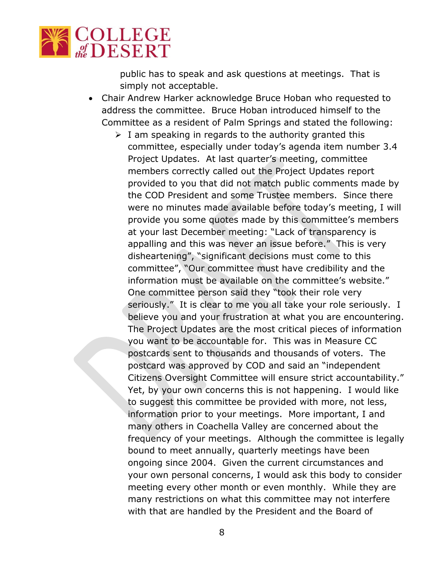

public has to speak and ask questions at meetings. That is simply not acceptable.

- Chair Andrew Harker acknowledge Bruce Hoban who requested to address the committee. Bruce Hoban introduced himself to the Committee as a resident of Palm Springs and stated the following:
	- $\triangleright$  I am speaking in regards to the authority granted this committee, especially under today's agenda item number 3.4 Project Updates. At last quarter's meeting, committee members correctly called out the Project Updates report provided to you that did not match public comments made by the COD President and some Trustee members. Since there were no minutes made available before today's meeting, I will provide you some quotes made by this committee's members at your last December meeting: "Lack of transparency is appalling and this was never an issue before." This is very disheartening", "significant decisions must come to this committee", "Our committee must have credibility and the information must be available on the committee's website." One committee person said they "took their role very seriously." It is clear to me you all take your role seriously. I believe you and your frustration at what you are encountering. The Project Updates are the most critical pieces of information you want to be accountable for. This was in Measure CC postcards sent to thousands and thousands of voters. The postcard was approved by COD and said an "independent Citizens Oversight Committee will ensure strict accountability." Yet, by your own concerns this is not happening. I would like to suggest this committee be provided with more, not less, information prior to your meetings. More important, I and many others in Coachella Valley are concerned about the frequency of your meetings. Although the committee is legally bound to meet annually, quarterly meetings have been ongoing since 2004. Given the current circumstances and your own personal concerns, I would ask this body to consider meeting every other month or even monthly. While they are many restrictions on what this committee may not interfere with that are handled by the President and the Board of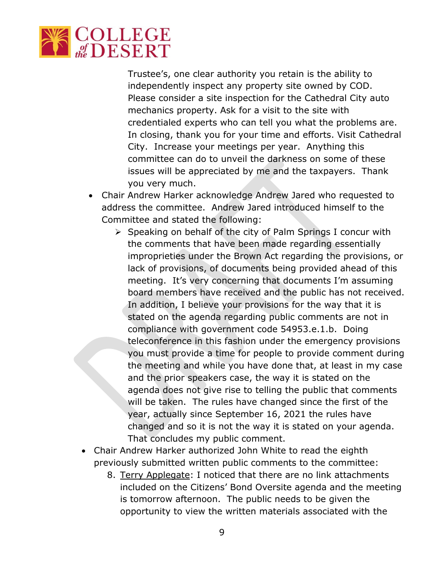

Trustee's, one clear authority you retain is the ability to independently inspect any property site owned by COD. Please consider a site inspection for the Cathedral City auto mechanics property. Ask for a visit to the site with credentialed experts who can tell you what the problems are. In closing, thank you for your time and efforts. Visit Cathedral City. Increase your meetings per year. Anything this committee can do to unveil the darkness on some of these issues will be appreciated by me and the taxpayers. Thank you very much.

- Chair Andrew Harker acknowledge Andrew Jared who requested to address the committee. Andrew Jared introduced himself to the Committee and stated the following:
	- $\triangleright$  Speaking on behalf of the city of Palm Springs I concur with the comments that have been made regarding essentially improprieties under the Brown Act regarding the provisions, or lack of provisions, of documents being provided ahead of this meeting. It's very concerning that documents I'm assuming board members have received and the public has not received. In addition, I believe your provisions for the way that it is stated on the agenda regarding public comments are not in compliance with government code 54953.e.1.b. Doing teleconference in this fashion under the emergency provisions you must provide a time for people to provide comment during the meeting and while you have done that, at least in my case and the prior speakers case, the way it is stated on the agenda does not give rise to telling the public that comments will be taken. The rules have changed since the first of the year, actually since September 16, 2021 the rules have changed and so it is not the way it is stated on your agenda. That concludes my public comment.
- Chair Andrew Harker authorized John White to read the eighth previously submitted written public comments to the committee:
	- 8. Terry Applegate: I noticed that there are no link attachments included on the Citizens' Bond Oversite agenda and the meeting is tomorrow afternoon. The public needs to be given the opportunity to view the written materials associated with the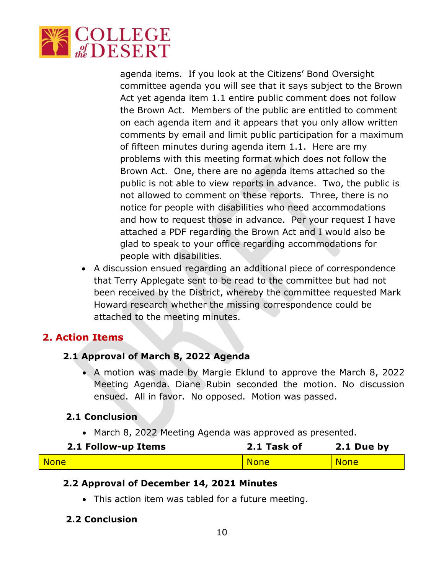

agenda items. If you look at the Citizens' Bond Oversight committee agenda you will see that it says subject to the Brown Act yet agenda item 1.1 entire public comment does not follow the Brown Act. Members of the public are entitled to comment on each agenda item and it appears that you only allow written comments by email and limit public participation for a maximum of fifteen minutes during agenda item 1.1. Here are my problems with this meeting format which does not follow the Brown Act. One, there are no agenda items attached so the public is not able to view reports in advance. Two, the public is not allowed to comment on these reports. Three, there is no notice for people with disabilities who need accommodations and how to request those in advance. Per your request I have attached a PDF regarding the Brown Act and I would also be glad to speak to your office regarding accommodations for people with disabilities.

• A discussion ensued regarding an additional piece of correspondence that Terry Applegate sent to be read to the committee but had not been received by the District, whereby the committee requested Mark Howard research whether the missing correspondence could be attached to the meeting minutes.

# **2. Action Items**

# **2.1 Approval of March 8, 2022 Agenda**

• A motion was made by Margie Eklund to approve the March 8, 2022 Meeting Agenda. Diane Rubin seconded the motion. No discussion ensued. All in favor. No opposed. Motion was passed.

#### **2.1 Conclusion**

• March 8, 2022 Meeting Agenda was approved as presented.

| 2.1 Follow-up Items | 2.1 Task of | 2.1 Due by  |
|---------------------|-------------|-------------|
| <b>None</b>         | <b>None</b> | <b>None</b> |

# **2.2 Approval of December 14, 2021 Minutes**

• This action item was tabled for a future meeting.

# **2.2 Conclusion**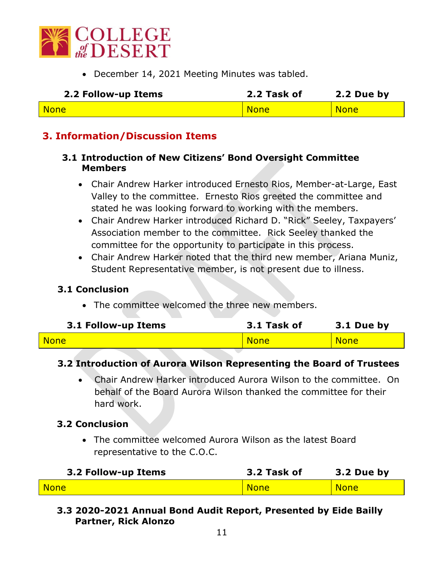

• December 14, 2021 Meeting Minutes was tabled.

| 2.2 Follow-up Items | 2.2 Task of | 2.2 Due by  |
|---------------------|-------------|-------------|
| <b>None</b>         | <b>None</b> | <b>None</b> |

# **3. Information/Discussion Items**

#### **3.1 Introduction of New Citizens' Bond Oversight Committee Members**

- Chair Andrew Harker introduced Ernesto Rios, Member-at-Large, East Valley to the committee. Ernesto Rios greeted the committee and stated he was looking forward to working with the members.
- Chair Andrew Harker introduced Richard D. "Rick" Seeley, Taxpayers' Association member to the committee. Rick Seeley thanked the committee for the opportunity to participate in this process.
- Chair Andrew Harker noted that the third new member, Ariana Muniz, Student Representative member, is not present due to illness.

#### **3.1 Conclusion**

• The committee welcomed the three new members.

| 3.1 Follow-up Items | 3.1 Task of | 3.1 Due by  |
|---------------------|-------------|-------------|
| <b>None</b>         | <b>None</b> | <b>None</b> |

# **3.2 Introduction of Aurora Wilson Representing the Board of Trustees**

• Chair Andrew Harker introduced Aurora Wilson to the committee. On behalf of the Board Aurora Wilson thanked the committee for their hard work.

# **3.2 Conclusion**

• The committee welcomed Aurora Wilson as the latest Board representative to the C.O.C.

| 3.2 Follow-up Items | 3.2 Task of | 3.2 Due by  |
|---------------------|-------------|-------------|
| <b>None</b>         | <b>None</b> | <b>None</b> |

# **3.3 2020-2021 Annual Bond Audit Report, Presented by Eide Bailly Partner, Rick Alonzo**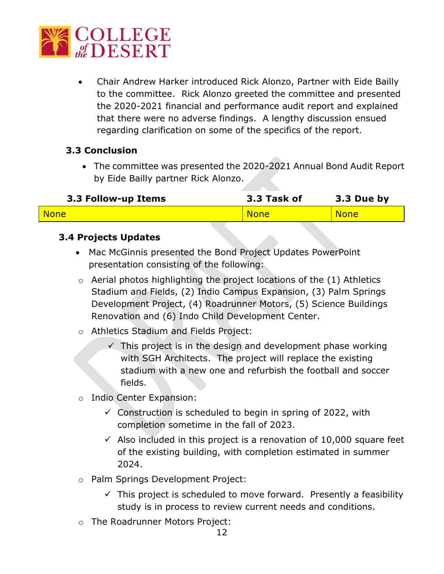

• Chair Andrew Harker introduced Rick Alonzo, Partner with Eide Bailly to the committee. Rick Alonzo greeted the committee and presented the 2020-2021 financial and performance audit report and explained that there were no adverse findings. A lengthy discussion ensued regarding clarification on some of the specifics of the report.

# **3.3 Conclusion**

• The committee was presented the 2020-2021 Annual Bond Audit Report by Eide Bailly partner Rick Alonzo.

| 3.3 Follow-up Items | 3.3 Task of | 3.3 Due by  |
|---------------------|-------------|-------------|
| <b>None</b>         | <b>None</b> | <b>None</b> |
|                     |             |             |

# **3.4 Projects Updates**

- Mac McGinnis presented the Bond Project Updates PowerPoint presentation consisting of the following:
- $\circ$  Aerial photos highlighting the project locations of the  $(1)$  Athletics Stadium and Fields, (2) Indio Campus Expansion, (3) Palm Springs Development Project, (4) Roadrunner Motors, (5) Science Buildings Renovation and (6) Indo Child Development Center.
- o Athletics Stadium and Fields Project:
	- $\checkmark$  This project is in the design and development phase working with SGH Architects. The project will replace the existing stadium with a new one and refurbish the football and soccer fields.
- o Indio Center Expansion:
	- $\checkmark$  Construction is scheduled to begin in spring of 2022, with completion sometime in the fall of 2023.
	- $\checkmark$  Also included in this project is a renovation of 10,000 square feet of the existing building, with completion estimated in summer 2024.
- o Palm Springs Development Project:
	- $\checkmark$  This project is scheduled to move forward. Presently a feasibility study is in process to review current needs and conditions.
- o The Roadrunner Motors Project: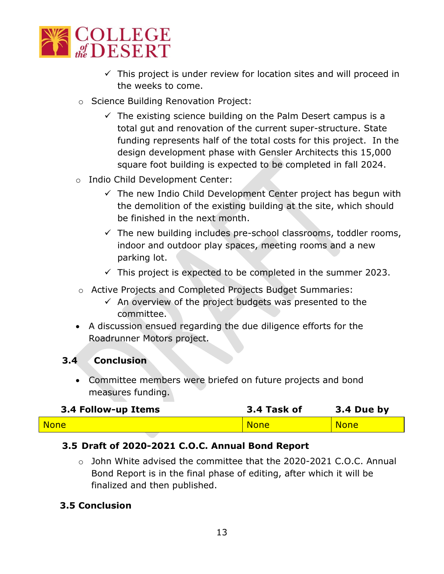

- $\checkmark$  This project is under review for location sites and will proceed in the weeks to come.
- o Science Building Renovation Project:
	- $\checkmark$  The existing science building on the Palm Desert campus is a total gut and renovation of the current super-structure. State funding represents half of the total costs for this project. In the design development phase with Gensler Architects this 15,000 square foot building is expected to be completed in fall 2024.
- o Indio Child Development Center:
	- $\checkmark$  The new Indio Child Development Center project has begun with the demolition of the existing building at the site, which should be finished in the next month.
	- $\checkmark$  The new building includes pre-school classrooms, toddler rooms, indoor and outdoor play spaces, meeting rooms and a new parking lot.
	- $\checkmark$  This project is expected to be completed in the summer 2023.
- o Active Projects and Completed Projects Budget Summaries:
	- $\checkmark$  An overview of the project budgets was presented to the committee.
- A discussion ensued regarding the due diligence efforts for the Roadrunner Motors project.

# **3.4 Conclusion**

• Committee members were briefed on future projects and bond measures funding.

| 3.4 Follow-up Items | 3.4 Task of | 3.4 Due by  |
|---------------------|-------------|-------------|
| <b>None</b>         | <b>None</b> | <b>None</b> |

# **3.5 Draft of 2020-2021 C.O.C. Annual Bond Report**

 $\circ$  John White advised the committee that the 2020-2021 C.O.C. Annual Bond Report is in the final phase of editing, after which it will be finalized and then published.

# **3.5 Conclusion**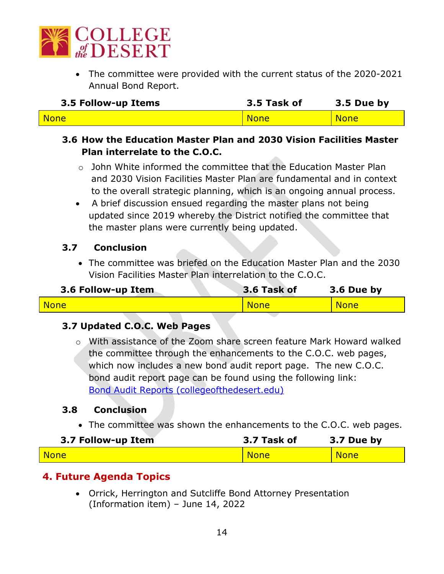

• The committee were provided with the current status of the 2020-2021 Annual Bond Report.

| 3.5 Follow-up Items | 3.5 Task of | 3.5 Due by |
|---------------------|-------------|------------|
| <b>None</b>         | <b>None</b> | None       |

# **3.6 How the Education Master Plan and 2030 Vision Facilities Master Plan interrelate to the C.O.C.**

- $\circ$  John White informed the committee that the Education Master Plan and 2030 Vision Facilities Master Plan are fundamental and in context to the overall strategic planning, which is an ongoing annual process.
- A brief discussion ensued regarding the master plans not being updated since 2019 whereby the District notified the committee that the master plans were currently being updated.

# **3.7 Conclusion**

• The committee was briefed on the Education Master Plan and the 2030 Vision Facilities Master Plan interrelation to the C.O.C.

| 3.6 Follow-up Item | 3.6 Task of | 3.6 Due by  |
|--------------------|-------------|-------------|
| None               | <b>None</b> | <b>None</b> |

# **3.7 Updated C.O.C. Web Pages**

o With assistance of the Zoom share screen feature Mark Howard walked the committee through the enhancements to the C.O.C. web pages, which now includes a new bond audit report page. The new C.O.C. bond audit report page can be found using the following link: [Bond Audit Reports \(collegeofthedesert.edu\)](https://www.collegeofthedesert.edu/community/facility-plan/bond-audit-report.php)

# **3.8 Conclusion**

• The committee was shown the enhancements to the C.O.C. web pages.

| 3.7 Follow-up Item | 3.7 Task of | 3.7 Due by  |
|--------------------|-------------|-------------|
| <b>None</b>        | <b>None</b> | <b>None</b> |

# **4. Future Agenda Topics**

• Orrick, Herrington and Sutcliffe Bond Attorney Presentation (Information item) – June 14, 2022